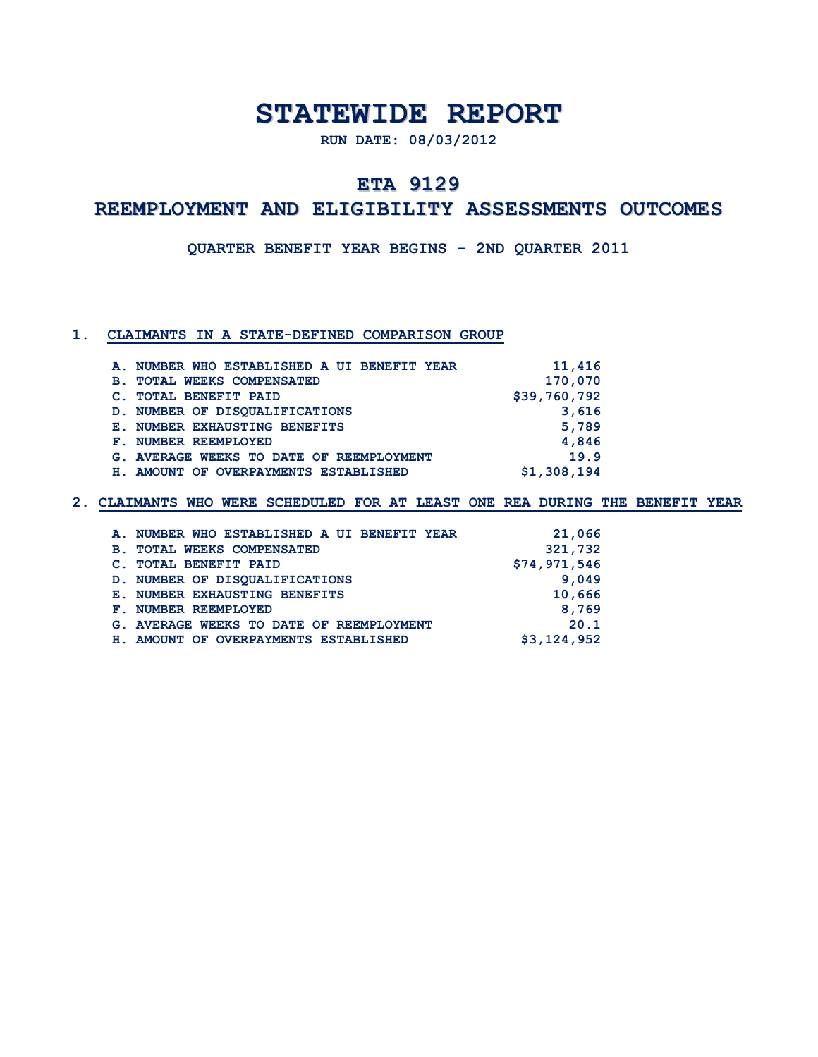# **STATEWIDE REPORT**

**RUN DATE: 08/03/2012**

## **ETA 9129**

## **REEMPLOYMENT AND ELIGIBILITY ASSESSMENTS OUTCOMES**

**QUARTER BENEFIT YEAR BEGINS - 2ND QUARTER 2011**

### **1. CLAIMANTS IN A STATE-DEFINED COMPARISON GROUP**

|                                             | A. NUMBER WHO ESTABLISHED A UI BENEFIT YEAR | 11,416       |
|---------------------------------------------|---------------------------------------------|--------------|
| $\mathbf{B}$ .                              | <b>TOTAL WEEKS COMPENSATED</b>              | 170,070      |
| <b>TOTAL BENEFIT PAID</b><br>$\mathbf{C}$ . |                                             | \$39,760,792 |
|                                             | D. NUMBER OF DISOUALIFICATIONS              | 3,616        |
|                                             | <b>E. NUMBER EXHAUSTING BENEFITS</b>        | 5,789        |
| F. NUMBER REEMPLOYED                        |                                             | 4,846        |
|                                             | G. AVERAGE WEEKS TO DATE OF REEMPLOYMENT    | 19.9         |
|                                             | H. AMOUNT OF OVERPAYMENTS ESTABLISHED       | \$1,308,194  |

| A. NUMBER WHO ESTABLISHED A UI BENEFIT YEAR | 21,066       |
|---------------------------------------------|--------------|
| <b>B. TOTAL WEEKS COMPENSATED</b>           | 321,732      |
| C. TOTAL BENEFIT PAID                       | \$74,971,546 |
| D. NUMBER OF DISOUALIFICATIONS              | 9,049        |
| E. NUMBER EXHAUSTING BENEFITS               | 10,666       |
| F. NUMBER REEMPLOYED                        | 8,769        |
| G. AVERAGE WEEKS TO DATE OF REEMPLOYMENT    | 20.1         |
| H. AMOUNT OF OVERPAYMENTS ESTABLISHED       | \$3,124,952  |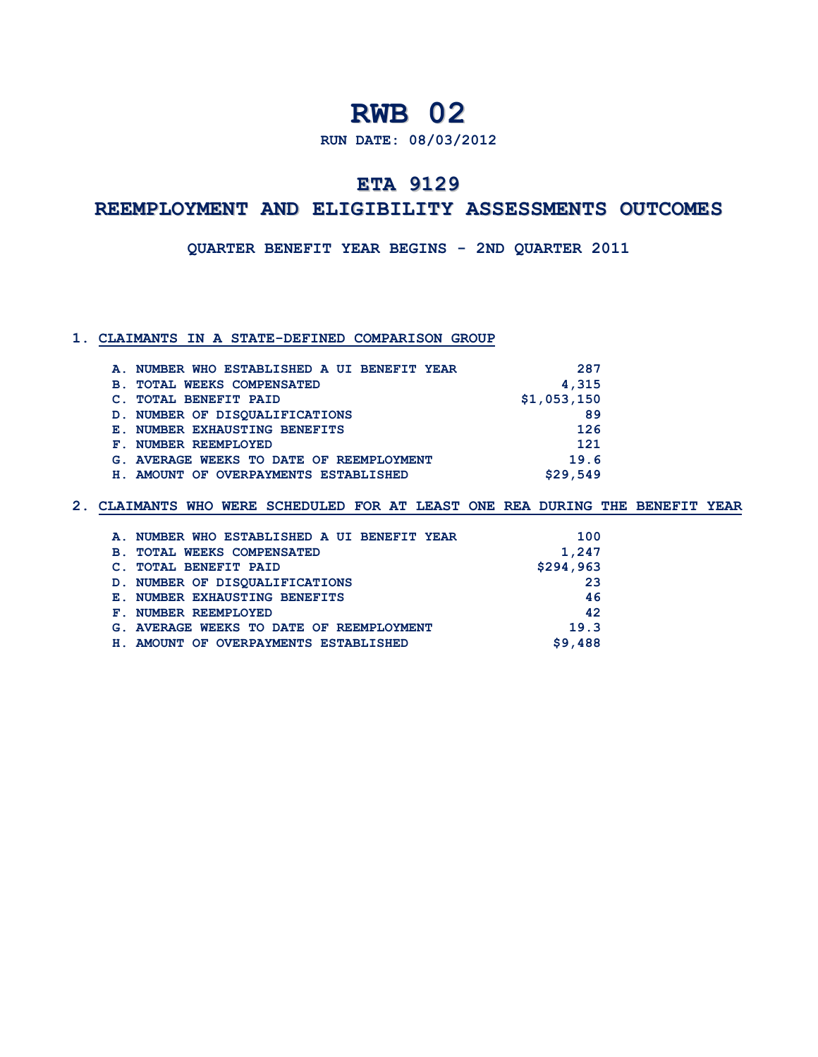**RUN DATE: 08/03/2012**

## **ETA 9129**

## **REEMPLOYMENT AND ELIGIBILITY ASSESSMENTS OUTCOMES**

#### **QUARTER BENEFIT YEAR BEGINS - 2ND QUARTER 2011**

### **1. CLAIMANTS IN A STATE-DEFINED COMPARISON GROUP**

| A. NUMBER WHO ESTABLISHED A UI BENEFIT YEAR  | 287         |
|----------------------------------------------|-------------|
| <b>TOTAL WEEKS COMPENSATED</b><br><b>B</b> . | 4,315       |
| <b>TOTAL BENEFIT PAID</b>                    | \$1,053,150 |
| D. NUMBER OF DISOUALIFICATIONS               | 89          |
| <b>E. NUMBER EXHAUSTING BENEFITS</b>         | 126         |
| NUMBER REEMPLOYED<br>${\bf F}$ .             | 121         |
| G. AVERAGE WEEKS TO DATE OF REEMPLOYMENT     | 19.6        |
| H. AMOUNT OF OVERPAYMENTS ESTABLISHED        | \$29,549    |

|                      | A. NUMBER WHO ESTABLISHED A UI BENEFIT YEAR | 100       |
|----------------------|---------------------------------------------|-----------|
| <b>B</b> .           | <b>TOTAL WEEKS COMPENSATED</b>              | 1,247     |
|                      | <b>TOTAL BENEFIT PAID</b>                   | \$294,963 |
|                      | D. NUMBER OF DISOUALIFICATIONS              | 23        |
|                      | <b>E. NUMBER EXHAUSTING BENEFITS</b>        | 46        |
| F. NUMBER REEMPLOYED |                                             | 42        |
|                      | G. AVERAGE WEEKS TO DATE OF REEMPLOYMENT    | 19.3      |
|                      | H. AMOUNT OF OVERPAYMENTS ESTABLISHED       | \$9,488   |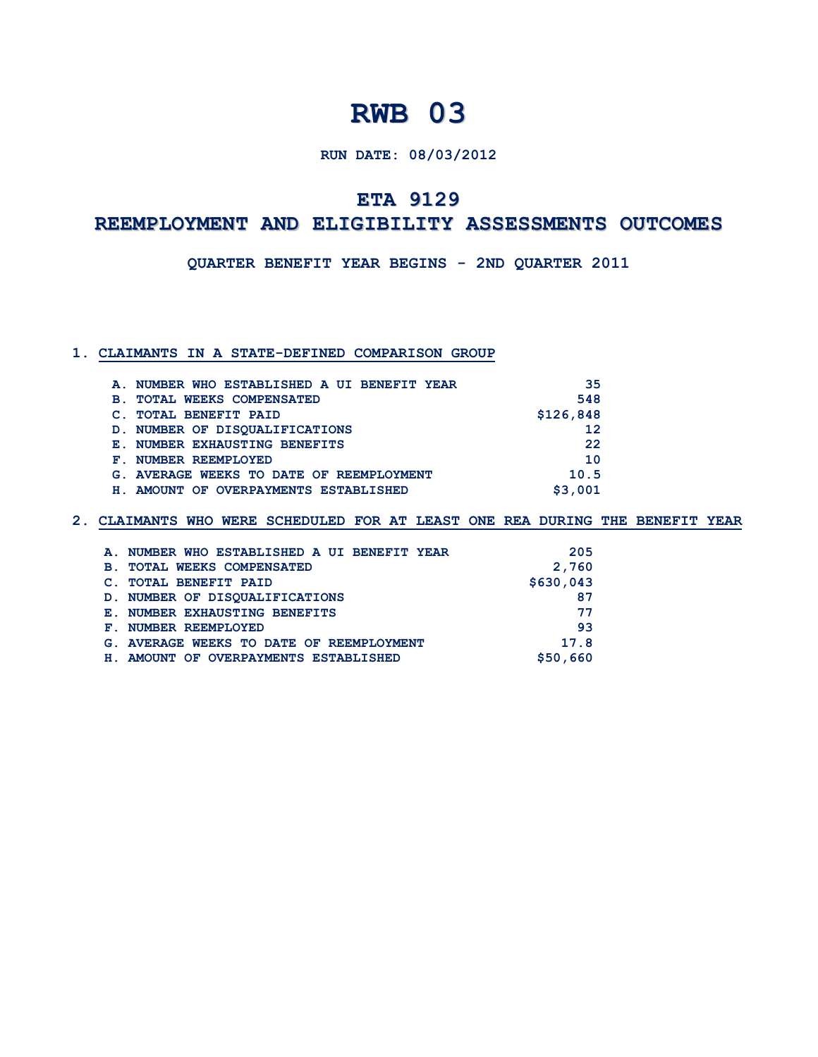## **RUN DATE: 08/03/2012**

## **ETA 9129**

## **REEMPLOYMENT AND ELIGIBILITY ASSESSMENTS OUTCOMES**

**QUARTER BENEFIT YEAR BEGINS - 2ND QUARTER 2011**

### **1. CLAIMANTS IN A STATE-DEFINED COMPARISON GROUP**

| A. NUMBER WHO ESTABLISHED A UI BENEFIT YEAR      | 35        |
|--------------------------------------------------|-----------|
| <b>TOTAL WEEKS COMPENSATED</b><br>$\mathbf{B}$ . | 548       |
| <b>TOTAL BENEFIT PAID</b>                        | \$126,848 |
| D. NUMBER OF DISOUALIFICATIONS                   | 12        |
| <b>E. NUMBER EXHAUSTING BENEFITS</b>             | 22        |
| NUMBER REEMPLOYED<br>${\bf F}$ . $-$             | 10        |
| G. AVERAGE WEEKS TO DATE OF REEMPLOYMENT         | 10.5      |
| H. AMOUNT OF OVERPAYMENTS ESTABLISHED            | \$3,001   |

|                | A. NUMBER WHO ESTABLISHED A UI BENEFIT YEAR | 205       |
|----------------|---------------------------------------------|-----------|
| $\mathbf{B}$ . | <b>TOTAL WEEKS COMPENSATED</b>              | 2,760     |
|                | <b>TOTAL BENEFIT PAID</b>                   | \$630,043 |
|                | D. NUMBER OF DISOUALIFICATIONS              | 87        |
|                | <b>E. NUMBER EXHAUSTING BENEFITS</b>        | 77        |
| F.             | NUMBER REEMPLOYED                           | 93        |
|                | G. AVERAGE WEEKS TO DATE OF REEMPLOYMENT    | 17.8      |
| H.,            | AMOUNT OF OVERPAYMENTS ESTABLISHED          | \$50,660  |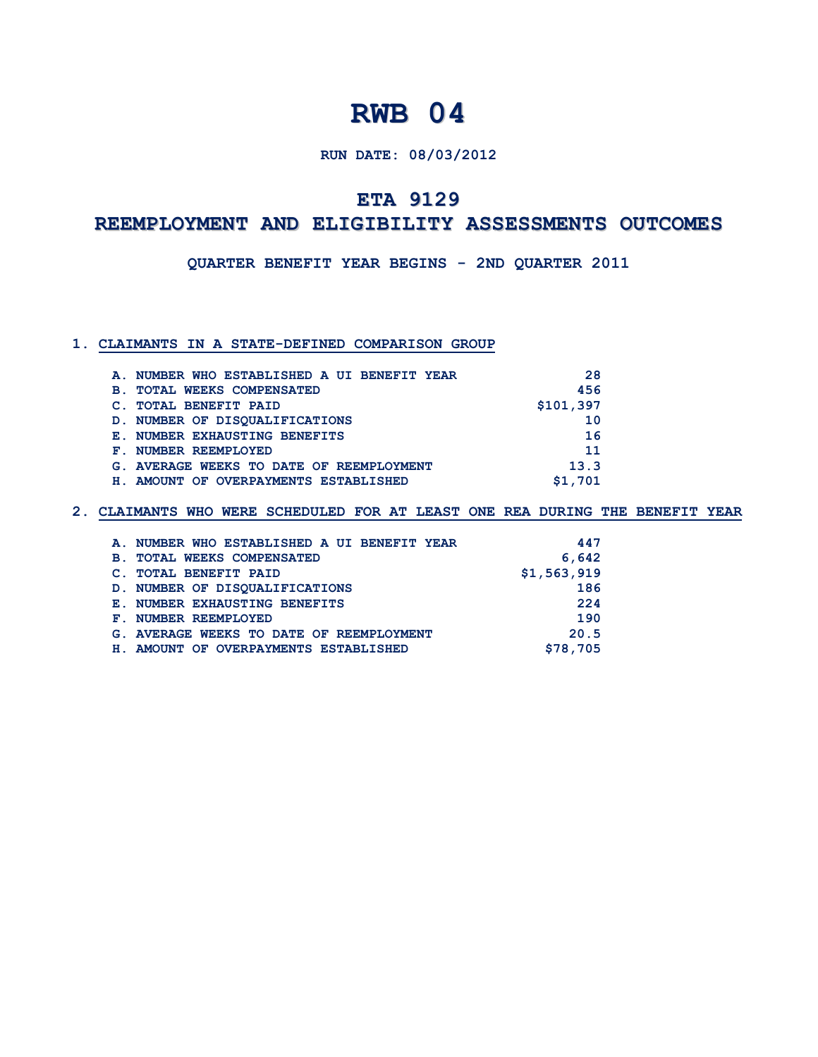## **RUN DATE: 08/03/2012**

## **ETA 9129**

## **REEMPLOYMENT AND ELIGIBILITY ASSESSMENTS OUTCOMES**

**QUARTER BENEFIT YEAR BEGINS - 2ND QUARTER 2011**

#### **1. CLAIMANTS IN A STATE-DEFINED COMPARISON GROUP**

| A. NUMBER WHO ESTABLISHED A UI BENEFIT YEAR  | 28        |
|----------------------------------------------|-----------|
| <b>TOTAL WEEKS COMPENSATED</b><br><b>B</b> . | 456       |
| <b>TOTAL BENEFIT PAID</b><br>C.              | \$101,397 |
| D. NUMBER OF DISOUALIFICATIONS               | 10        |
| <b>E. NUMBER EXHAUSTING BENEFITS</b>         | 16        |
| F. NUMBER REEMPLOYED                         | 11        |
| G. AVERAGE WEEKS TO DATE OF REEMPLOYMENT     | 13.3      |
| H. AMOUNT OF OVERPAYMENTS ESTABLISHED        | \$1,701   |

| A. NUMBER WHO ESTABLISHED A UI BENEFIT YEAR  | 447         |
|----------------------------------------------|-------------|
| <b>TOTAL WEEKS COMPENSATED</b><br><b>B</b> . | 6,642       |
| <b>TOTAL BENEFIT PAID</b><br>$\mathbf{C}$ .  | \$1,563,919 |
| D. NUMBER OF DISOUALIFICATIONS               | 186         |
| <b>E. NUMBER EXHAUSTING BENEFITS</b>         | 224         |
| F. NUMBER REEMPLOYED                         | 190         |
| G. AVERAGE WEEKS TO DATE OF REEMPLOYMENT     | 20.5        |
| H. AMOUNT OF OVERPAYMENTS ESTABLISHED        | \$78,705    |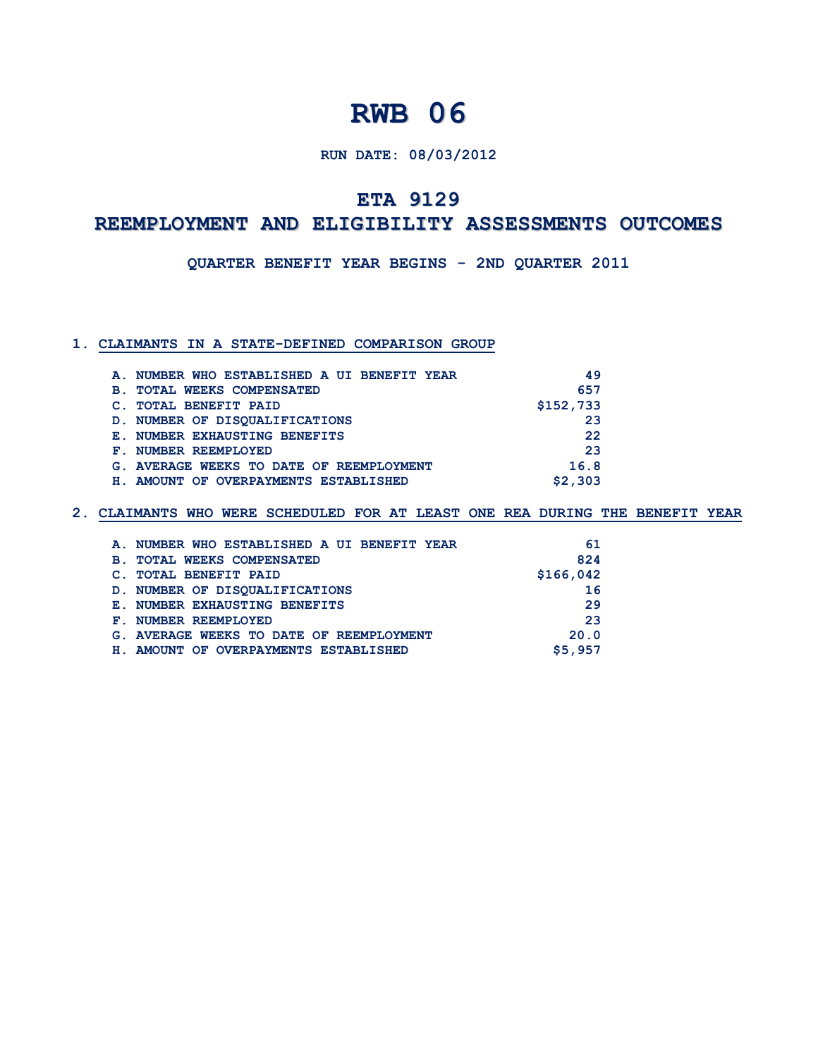## **RUN DATE: 08/03/2012**

## **ETA 9129**

## **REEMPLOYMENT AND ELIGIBILITY ASSESSMENTS OUTCOMES**

**QUARTER BENEFIT YEAR BEGINS - 2ND QUARTER 2011**

#### **1. CLAIMANTS IN A STATE-DEFINED COMPARISON GROUP**

|            | A. NUMBER WHO ESTABLISHED A UI BENEFIT YEAR | 49        |
|------------|---------------------------------------------|-----------|
| <b>B</b> . | <b>TOTAL WEEKS COMPENSATED</b>              | 657       |
| C.         | <b>TOTAL BENEFIT PAID</b>                   | \$152,733 |
|            | D. NUMBER OF DISOUALIFICATIONS              | 23        |
|            | <b>E. NUMBER EXHAUSTING BENEFITS</b>        | 22        |
|            | F. NUMBER REEMPLOYED                        | 23        |
|            | G. AVERAGE WEEKS TO DATE OF REEMPLOYMENT    | 16.8      |
|            | H. AMOUNT OF OVERPAYMENTS ESTABLISHED       | \$2,303   |

|                | A. NUMBER WHO ESTABLISHED A UI BENEFIT YEAR | 61        |
|----------------|---------------------------------------------|-----------|
| $\mathbf{B}$ . | <b>TOTAL WEEKS COMPENSATED</b>              | 824       |
|                | <b>TOTAL BENEFIT PAID</b>                   | \$166,042 |
|                | D. NUMBER OF DISOUALIFICATIONS              | 16        |
|                | <b>E. NUMBER EXHAUSTING BENEFITS</b>        | 29        |
| ${\bf F}$ .    | NUMBER REEMPLOYED                           | 23        |
|                | G. AVERAGE WEEKS TO DATE OF REEMPLOYMENT    | 20.0      |
| н.             | AMOUNT OF OVERPAYMENTS ESTABLISHED          | \$5,957   |
|                |                                             |           |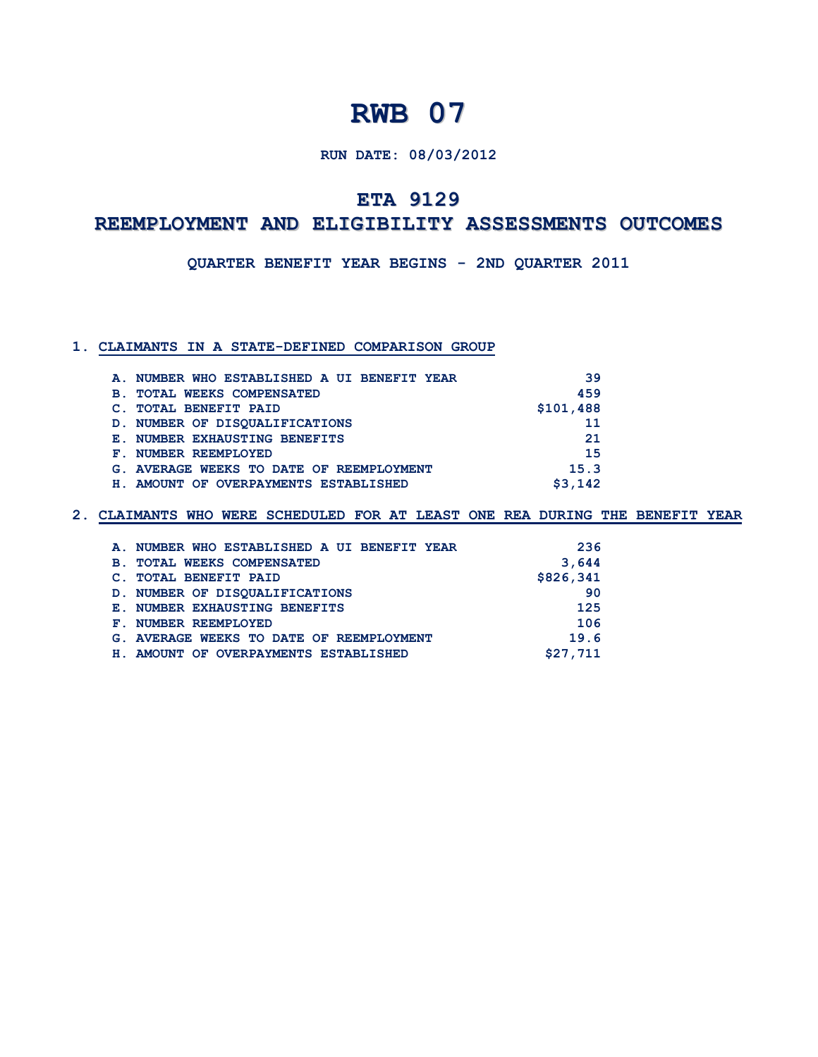## **RUN DATE: 08/03/2012**

## **ETA 9129**

# **REEMPLOYMENT AND ELIGIBILITY ASSESSMENTS OUTCOMES**

**QUARTER BENEFIT YEAR BEGINS - 2ND QUARTER 2011**

## **1. CLAIMANTS IN A STATE-DEFINED COMPARISON GROUP**

|            | A. NUMBER WHO ESTABLISHED A UI BENEFIT YEAR | 39        |
|------------|---------------------------------------------|-----------|
| <b>B</b> . | <b>TOTAL WEEKS COMPENSATED</b>              | 459       |
|            | <b>TOTAL BENEFIT PAID</b>                   | \$101,488 |
|            | D. NUMBER OF DISOUALIFICATIONS              | 11        |
|            | <b>E. NUMBER EXHAUSTING BENEFITS</b>        | 21        |
|            | F. NUMBER REEMPLOYED                        | 15        |
|            | G. AVERAGE WEEKS TO DATE OF REEMPLOYMENT    | 15.3      |
|            | H. AMOUNT OF OVERPAYMENTS ESTABLISHED       | \$3.142   |

| A. NUMBER WHO ESTABLISHED A UI BENEFIT YEAR  | 236       |
|----------------------------------------------|-----------|
| <b>TOTAL WEEKS COMPENSATED</b><br><b>B</b> . | 3,644     |
| <b>TOTAL BENEFIT PAID</b>                    | \$826,341 |
| D. NUMBER OF DISOUALIFICATIONS               | 90        |
| <b>E. NUMBER EXHAUSTING BENEFITS</b>         | 125       |
| F. NUMBER REEMPLOYED                         | 106       |
| G. AVERAGE WEEKS TO DATE OF REEMPLOYMENT     | 19.6      |
| H. AMOUNT OF OVERPAYMENTS ESTABLISHED        | \$27,711  |
|                                              |           |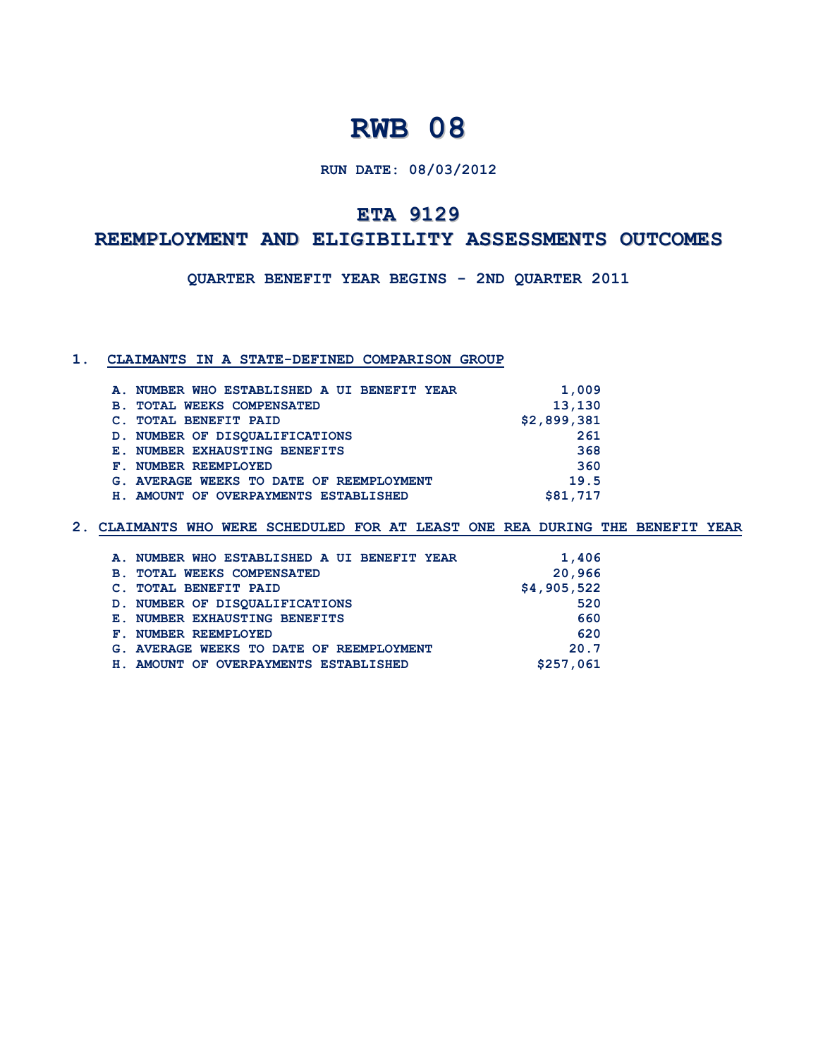**RUN DATE: 08/03/2012**

## **ETA 9129**

## **REEMPLOYMENT AND ELIGIBILITY ASSESSMENTS OUTCOMES**

**QUARTER BENEFIT YEAR BEGINS - 2ND QUARTER 2011**

## **1. CLAIMANTS IN A STATE-DEFINED COMPARISON GROUP**

| A. NUMBER WHO ESTABLISHED A UI BENEFIT YEAR  | 1,009       |
|----------------------------------------------|-------------|
| <b>TOTAL WEEKS COMPENSATED</b><br><b>B</b> . | 13,130      |
| <b>TOTAL BENEFIT PAID</b>                    | \$2,899,381 |
| D. NUMBER OF DISOUALIFICATIONS               | 261         |
| E. NUMBER EXHAUSTING BENEFITS                | 368         |
| F. NUMBER REEMPLOYED                         | 360         |
| G. AVERAGE WEEKS TO DATE OF REEMPLOYMENT     | 19.5        |
| H. AMOUNT OF OVERPAYMENTS ESTABLISHED        | \$81,717    |
|                                              |             |

|            | A. NUMBER WHO ESTABLISHED A UI BENEFIT YEAR | 1,406       |
|------------|---------------------------------------------|-------------|
| <b>B</b> . | <b>TOTAL WEEKS COMPENSATED</b>              | 20,966      |
|            | C. TOTAL BENEFIT PAID                       | \$4,905,522 |
|            | D. NUMBER OF DISOUALIFICATIONS              | 520         |
|            | <b>E. NUMBER EXHAUSTING BENEFITS</b>        | 660         |
|            | F. NUMBER REEMPLOYED                        | 620         |
|            | G. AVERAGE WEEKS TO DATE OF REEMPLOYMENT    | 20.7        |
|            | H. AMOUNT OF OVERPAYMENTS ESTABLISHED       | \$257,061   |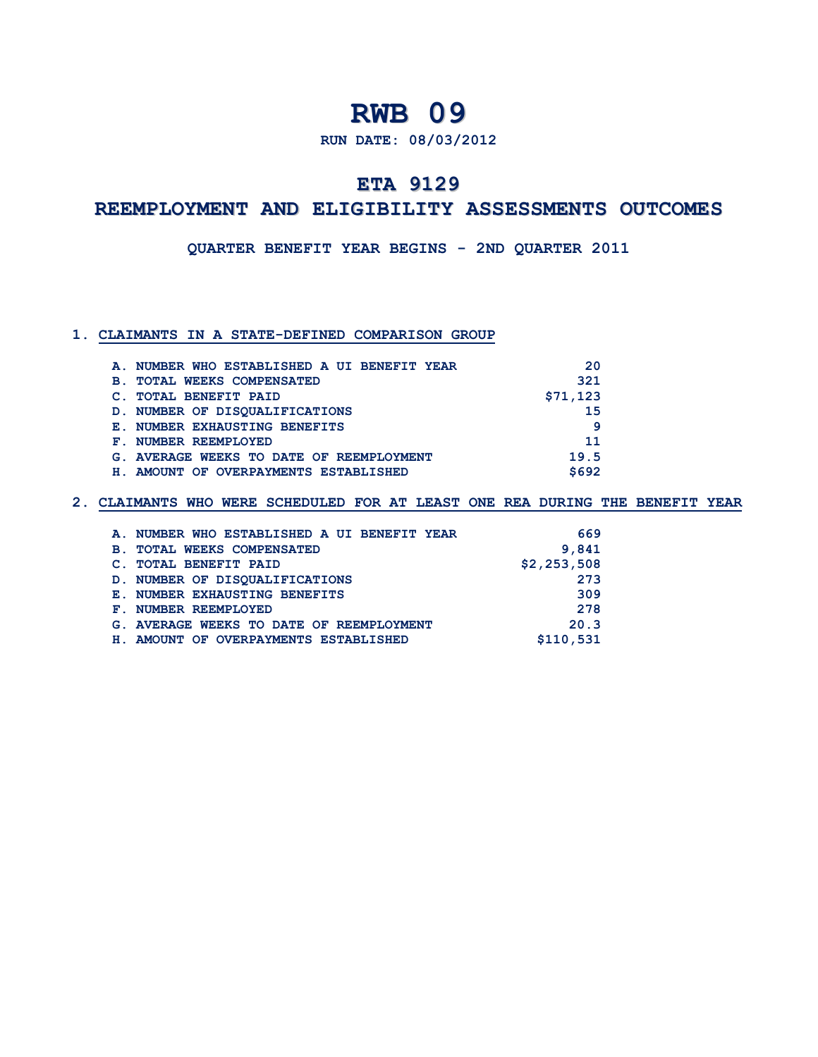**RUN DATE: 08/03/2012**

## **ETA 9129**

## **REEMPLOYMENT AND ELIGIBILITY ASSESSMENTS OUTCOMES**

**QUARTER BENEFIT YEAR BEGINS - 2ND QUARTER 2011**

### **1. CLAIMANTS IN A STATE-DEFINED COMPARISON GROUP**

| A. NUMBER WHO ESTABLISHED A UI BENEFIT YEAR  | 20       |
|----------------------------------------------|----------|
| <b>TOTAL WEEKS COMPENSATED</b><br><b>B</b> . | 321      |
| <b>TOTAL BENEFIT PAID</b>                    | \$71,123 |
| D. NUMBER OF DISOUALIFICATIONS               | 15       |
| <b>E. NUMBER EXHAUSTING BENEFITS</b>         | q        |
| F. NUMBER REEMPLOYED                         | 11       |
| G. AVERAGE WEEKS TO DATE OF REEMPLOYMENT     | 19.5     |
| AMOUNT OF OVERPAYMENTS ESTABLISHED<br>н.     | \$692    |

|                 | A. NUMBER WHO ESTABLISHED A UI BENEFIT YEAR | 669         |
|-----------------|---------------------------------------------|-------------|
| <b>B</b> .      | <b>TOTAL WEEKS COMPENSATED</b>              | 9,841       |
|                 | <b>TOTAL BENEFIT PAID</b>                   | \$2,253,508 |
|                 | D. NUMBER OF DISOUALIFICATIONS              | 273         |
|                 | <b>E. NUMBER EXHAUSTING BENEFITS</b>        | 309         |
| ${\bf F}$ . $-$ | NUMBER REEMPLOYED                           | 278         |
|                 | G. AVERAGE WEEKS TO DATE OF REEMPLOYMENT    | 20.3        |
| н.              | AMOUNT OF OVERPAYMENTS ESTABLISHED          | \$110,531   |
|                 |                                             |             |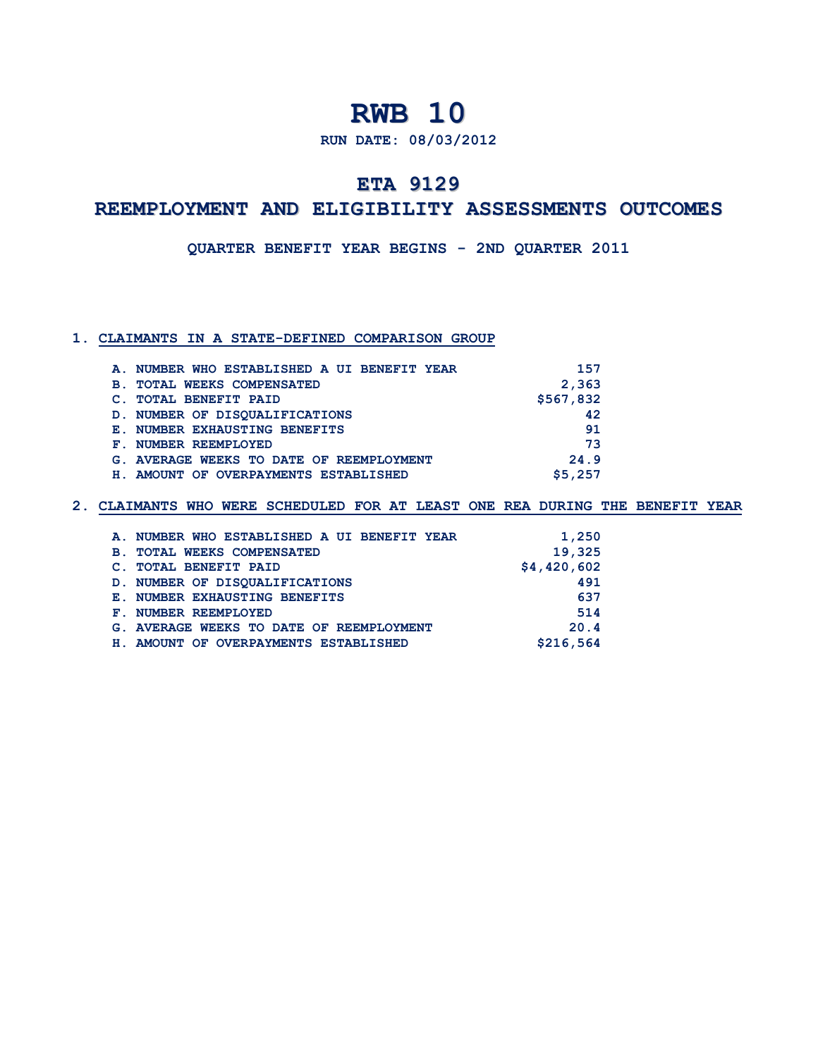**RUN DATE: 08/03/2012**

## **ETA 9129**

## **REEMPLOYMENT AND ELIGIBILITY ASSESSMENTS OUTCOMES**

**QUARTER BENEFIT YEAR BEGINS - 2ND QUARTER 2011**

### **1. CLAIMANTS IN A STATE-DEFINED COMPARISON GROUP**

| A. NUMBER WHO ESTABLISHED A UI BENEFIT YEAR  | 157       |
|----------------------------------------------|-----------|
| <b>TOTAL WEEKS COMPENSATED</b><br><b>B</b> . | 2,363     |
| <b>TOTAL BENEFIT PAID</b>                    | \$567,832 |
| D. NUMBER OF DISOUALIFICATIONS               | 42        |
| <b>E. NUMBER EXHAUSTING BENEFITS</b>         | 91        |
| F. NUMBER REEMPLOYED                         | 73        |
| G. AVERAGE WEEKS TO DATE OF REEMPLOYMENT     | 24.9      |
| AMOUNT OF OVERPAYMENTS ESTABLISHED<br>H.,    | \$5,257   |

| A. NUMBER WHO ESTABLISHED A UI BENEFIT YEAR  | 1,250       |
|----------------------------------------------|-------------|
| <b>TOTAL WEEKS COMPENSATED</b><br><b>B</b> . | 19,325      |
| <b>TOTAL BENEFIT PAID</b>                    | \$4,420,602 |
| D. NUMBER OF DISOUALIFICATIONS               | 491         |
| <b>E. NUMBER EXHAUSTING BENEFITS</b>         | 637         |
| F. NUMBER REEMPLOYED                         | 514         |
| G. AVERAGE WEEKS TO DATE OF REEMPLOYMENT     | 20.4        |
| H. AMOUNT OF OVERPAYMENTS ESTABLISHED        | \$216,564   |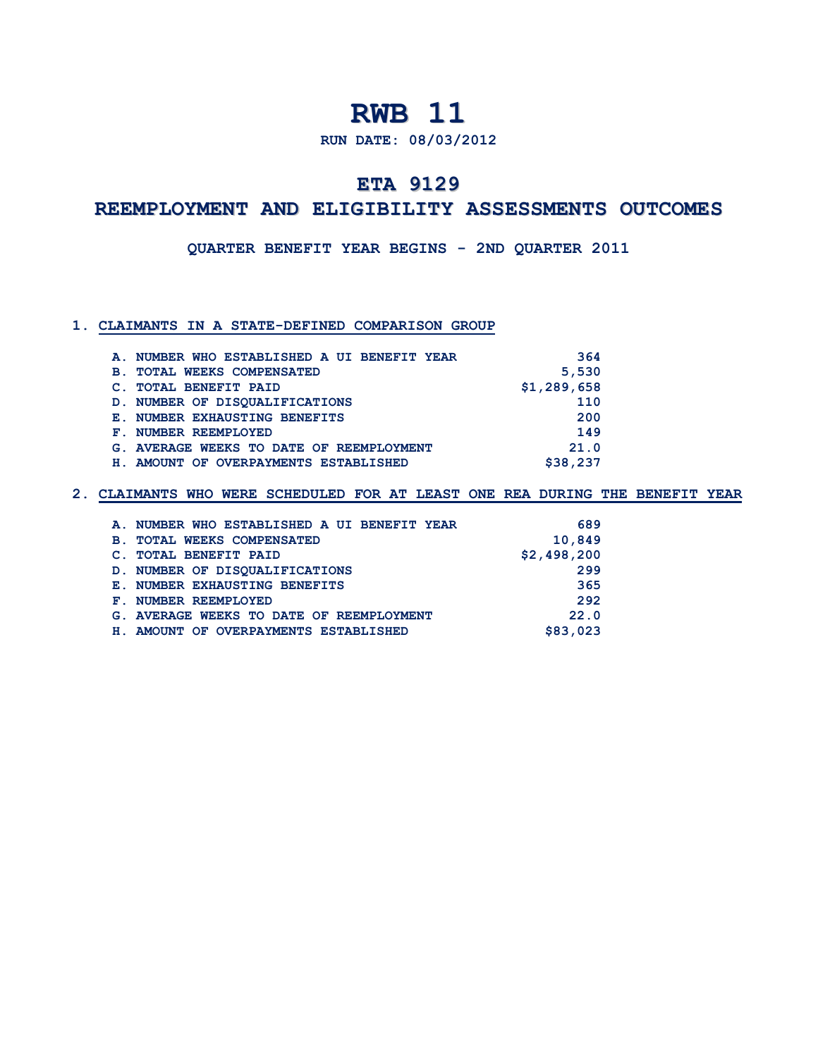**RUN DATE: 08/03/2012**

## **ETA 9129**

## **REEMPLOYMENT AND ELIGIBILITY ASSESSMENTS OUTCOMES**

**QUARTER BENEFIT YEAR BEGINS - 2ND QUARTER 2011**

## **1. CLAIMANTS IN A STATE-DEFINED COMPARISON GROUP**

| A. NUMBER WHO ESTABLISHED A UI BENEFIT YEAR  | 364         |
|----------------------------------------------|-------------|
| <b>TOTAL WEEKS COMPENSATED</b><br><b>B</b> . | 5,530       |
| <b>TOTAL BENEFIT PAID</b>                    | \$1,289,658 |
| D. NUMBER OF DISOUALIFICATIONS               | 110         |
| <b>E. NUMBER EXHAUSTING BENEFITS</b>         | 200         |
| NUMBER REEMPLOYED<br>${\bf F}$ . $-$         | 149         |
| G. AVERAGE WEEKS TO DATE OF REEMPLOYMENT     | 21.0        |
| AMOUNT OF OVERPAYMENTS ESTABLISHED<br>н.     | \$38,237    |

| A. NUMBER WHO ESTABLISHED A UI BENEFIT YEAR  | 689         |
|----------------------------------------------|-------------|
| <b>TOTAL WEEKS COMPENSATED</b><br><b>B</b> . | 10,849      |
| <b>TOTAL BENEFIT PAID</b><br>$\mathbf{C}$ .  | \$2,498,200 |
| D. NUMBER OF DISOUALIFICATIONS               | 299         |
| <b>E. NUMBER EXHAUSTING BENEFITS</b>         | 365         |
| F. NUMBER REEMPLOYED                         | 292         |
| G. AVERAGE WEEKS TO DATE OF REEMPLOYMENT     | 22.0        |
| AMOUNT OF OVERPAYMENTS ESTABLISHED<br>н.     | \$83,023    |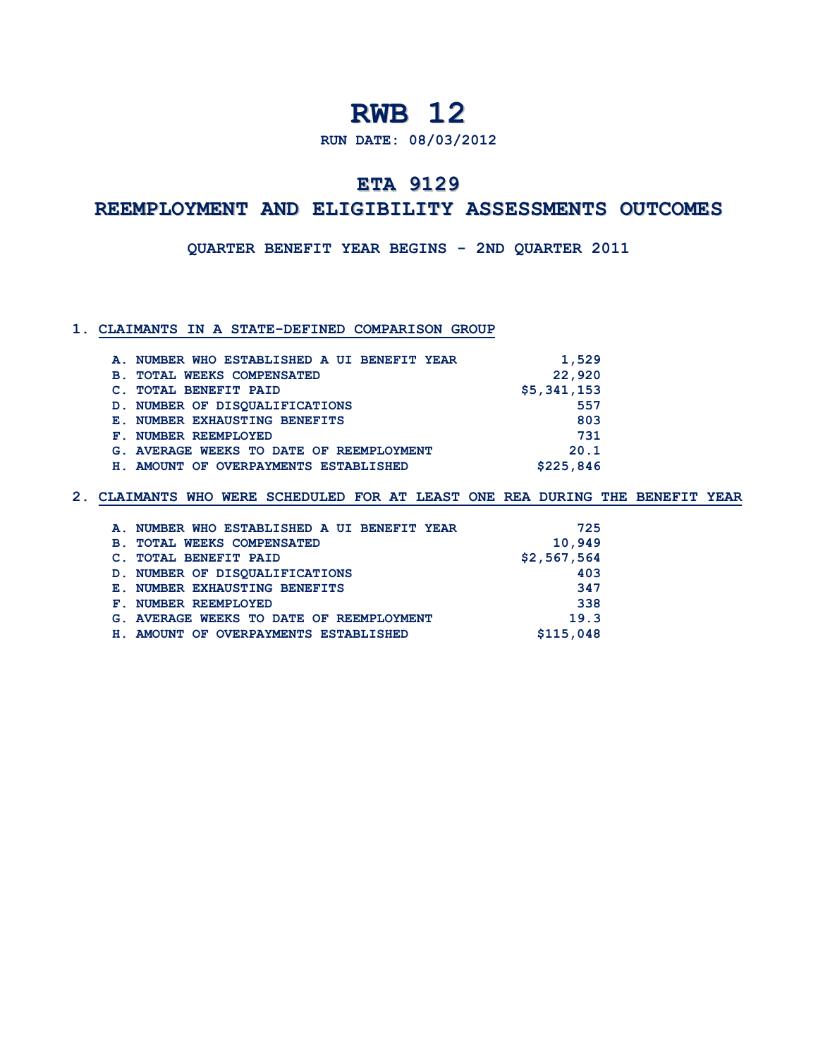**RUN DATE: 08/03/2012**

## **ETA 9129**

## **REEMPLOYMENT AND ELIGIBILITY ASSESSMENTS OUTCOMES**

**QUARTER BENEFIT YEAR BEGINS - 2ND QUARTER 2011**

### **1. CLAIMANTS IN A STATE-DEFINED COMPARISON GROUP**

| A. NUMBER WHO ESTABLISHED A UI BENEFIT YEAR      | 1,529       |
|--------------------------------------------------|-------------|
| <b>TOTAL WEEKS COMPENSATED</b><br>$\mathbf{B}$ . | 22,920      |
| <b>TOTAL BENEFIT PAID</b>                        | \$5,341,153 |
| D. NUMBER OF DISOUALIFICATIONS                   | 557         |
| <b>E. NUMBER EXHAUSTING BENEFITS</b>             | 803         |
| F. NUMBER REEMPLOYED                             | 731         |
| G. AVERAGE WEEKS TO DATE OF REEMPLOYMENT         | 20.1        |
| AMOUNT OF OVERPAYMENTS ESTABLISHED<br>н.         | \$225,846   |

| A. NUMBER WHO ESTABLISHED A UI BENEFIT YEAR  | 725         |
|----------------------------------------------|-------------|
| <b>TOTAL WEEKS COMPENSATED</b><br><b>B</b> . | 10,949      |
| <b>TOTAL BENEFIT PAID</b>                    | \$2,567,564 |
| D. NUMBER OF DISOUALIFICATIONS               | 403         |
| <b>E. NUMBER EXHAUSTING BENEFITS</b>         | 347         |
| F. NUMBER REEMPLOYED                         | 338         |
| G. AVERAGE WEEKS TO DATE OF REEMPLOYMENT     | 19.3        |
| AMOUNT OF OVERPAYMENTS ESTABLISHED<br>H.,    | \$115,048   |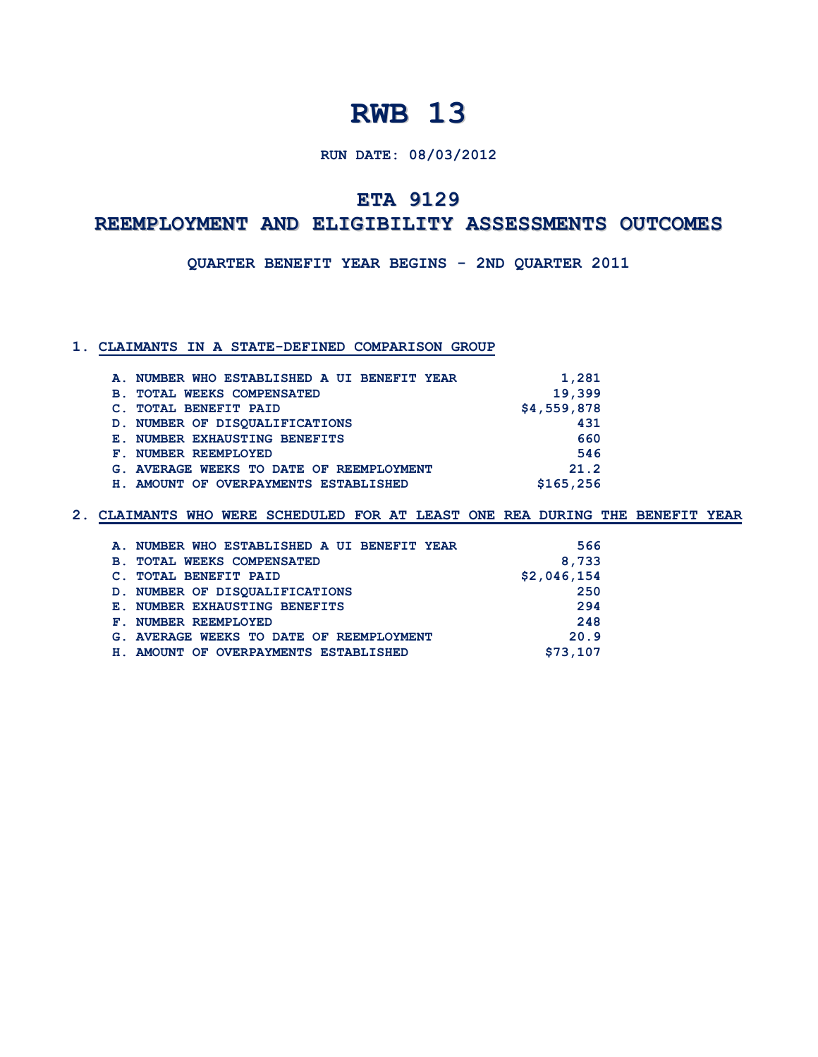## **RUN DATE: 08/03/2012**

## **ETA 9129**

# **REEMPLOYMENT AND ELIGIBILITY ASSESSMENTS OUTCOMES**

**QUARTER BENEFIT YEAR BEGINS - 2ND QUARTER 2011**

## **1. CLAIMANTS IN A STATE-DEFINED COMPARISON GROUP**

|            | A. NUMBER WHO ESTABLISHED A UI BENEFIT YEAR | 1,281       |
|------------|---------------------------------------------|-------------|
| <b>B</b> . | <b>TOTAL WEEKS COMPENSATED</b>              | 19,399      |
|            | <b>TOTAL BENEFIT PAID</b>                   | \$4,559,878 |
|            | D. NUMBER OF DISOUALIFICATIONS              | 431         |
|            | <b>E. NUMBER EXHAUSTING BENEFITS</b>        | 660         |
|            | F. NUMBER REEMPLOYED                        | 546         |
|            | G. AVERAGE WEEKS TO DATE OF REEMPLOYMENT    | 21.2        |
|            | H. AMOUNT OF OVERPAYMENTS ESTABLISHED       | \$165,256   |

| A. NUMBER WHO ESTABLISHED A UI BENEFIT YEAR  |  | 566         |
|----------------------------------------------|--|-------------|
| <b>TOTAL WEEKS COMPENSATED</b><br><b>B</b> . |  | 8,733       |
| <b>TOTAL BENEFIT PAID</b>                    |  | \$2,046,154 |
| D. NUMBER OF DISOUALIFICATIONS               |  | 250         |
| <b>E. NUMBER EXHAUSTING BENEFITS</b>         |  | 294         |
| F. NUMBER REEMPLOYED                         |  | 248         |
| G. AVERAGE WEEKS TO DATE OF REEMPLOYMENT     |  | 20.9        |
| H. AMOUNT OF OVERPAYMENTS ESTABLISHED        |  | \$73,107    |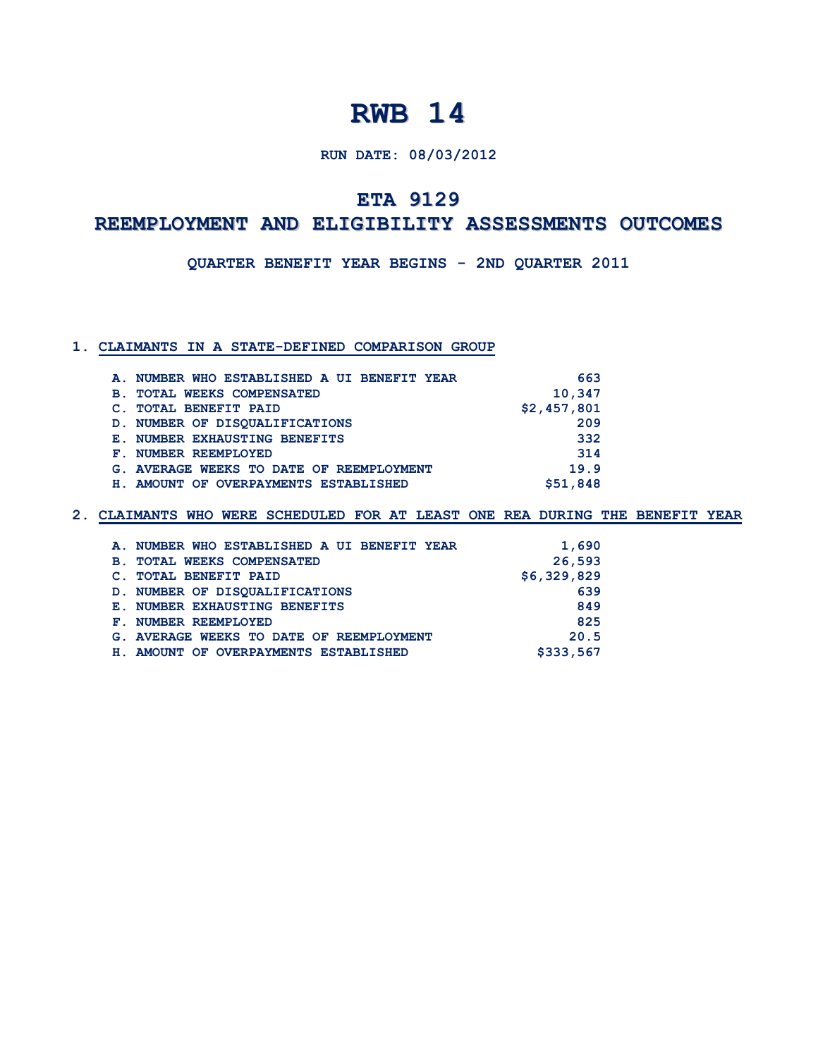## **RUN DATE: 08/03/2012**

## **ETA 9129**

## **REEMPLOYMENT AND ELIGIBILITY ASSESSMENTS OUTCOMES**

**QUARTER BENEFIT YEAR BEGINS - 2ND QUARTER 2011**

## **1. CLAIMANTS IN A STATE-DEFINED COMPARISON GROUP**

| 10,347      |
|-------------|
|             |
| \$2,457,801 |
| 209         |
| 332         |
| 314         |
| 19.9        |
| \$51,848    |
|             |

|            | A. NUMBER WHO ESTABLISHED A UI BENEFIT YEAR | 1,690       |
|------------|---------------------------------------------|-------------|
| <b>B</b> . | <b>TOTAL WEEKS COMPENSATED</b>              | 26,593      |
|            | <b>TOTAL BENEFIT PAID</b>                   | \$6,329,829 |
|            | D. NUMBER OF DISOUALIFICATIONS              | 639         |
|            | <b>E. NUMBER EXHAUSTING BENEFITS</b>        | 849         |
|            | F. NUMBER REEMPLOYED                        | 825         |
|            | G. AVERAGE WEEKS TO DATE OF REEMPLOYMENT    | 20.5        |
|            | H. AMOUNT OF OVERPAYMENTS ESTABLISHED       | \$333,567   |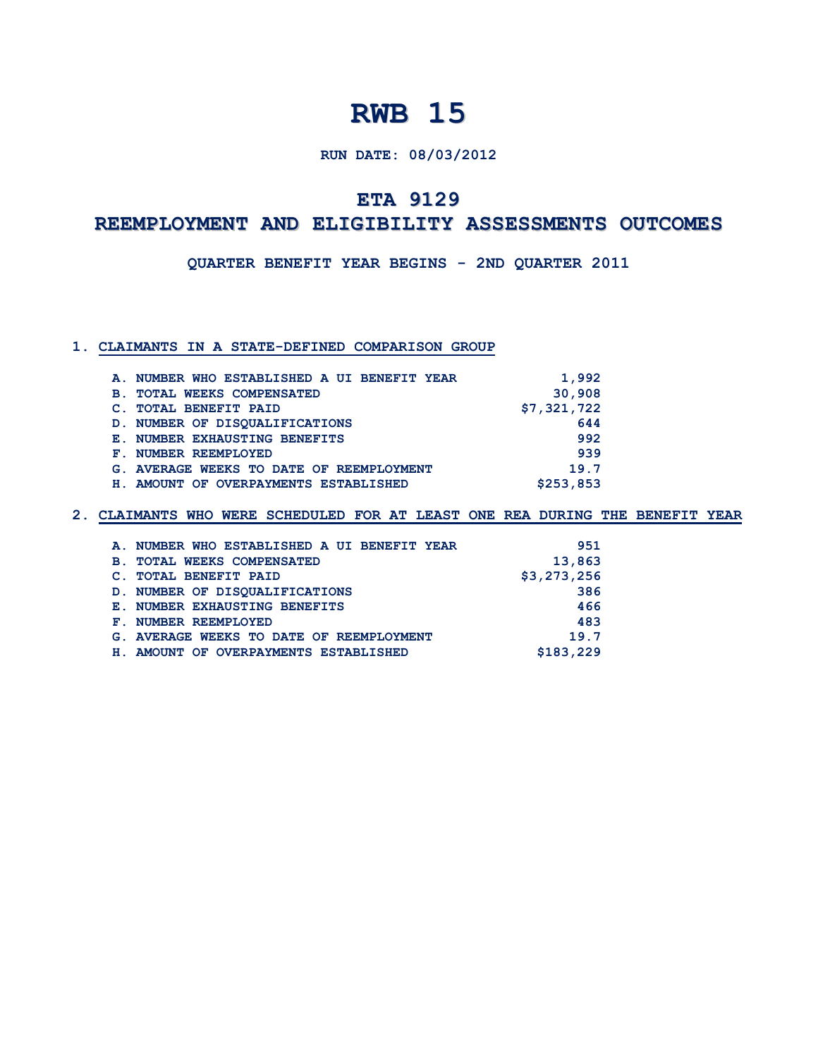## **RUN DATE: 08/03/2012**

## **ETA 9129**

# **REEMPLOYMENT AND ELIGIBILITY ASSESSMENTS OUTCOMES**

**QUARTER BENEFIT YEAR BEGINS - 2ND QUARTER 2011**

## **1. CLAIMANTS IN A STATE-DEFINED COMPARISON GROUP**

| A. NUMBER WHO ESTABLISHED A UI BENEFIT YEAR  | 1,992       |
|----------------------------------------------|-------------|
| <b>TOTAL WEEKS COMPENSATED</b><br><b>B</b> . | 30,908      |
| <b>TOTAL BENEFIT PAID</b><br>$\mathbf{C}$ .  | \$7,321,722 |
| D. NUMBER OF DISOUALIFICATIONS               | 644         |
| <b>E. NUMBER EXHAUSTING BENEFITS</b>         | 992         |
| F. NUMBER REEMPLOYED                         | 939         |
| G. AVERAGE WEEKS TO DATE OF REEMPLOYMENT     | 19.7        |
| H. AMOUNT OF OVERPAYMENTS ESTABLISHED        | \$253,853   |
|                                              |             |

|            | A. NUMBER WHO ESTABLISHED A UI BENEFIT YEAR | 951         |
|------------|---------------------------------------------|-------------|
| <b>B</b> . | <b>TOTAL WEEKS COMPENSATED</b>              | 13,863      |
|            | <b>TOTAL BENEFIT PAID</b>                   | \$3,273,256 |
|            | D. NUMBER OF DISOUALIFICATIONS              | 386         |
|            | <b>E. NUMBER EXHAUSTING BENEFITS</b>        | 466         |
|            | F. NUMBER REEMPLOYED                        | 483         |
|            | G. AVERAGE WEEKS TO DATE OF REEMPLOYMENT    | 19.7        |
| H.,        | AMOUNT OF OVERPAYMENTS ESTABLISHED          | \$183,229   |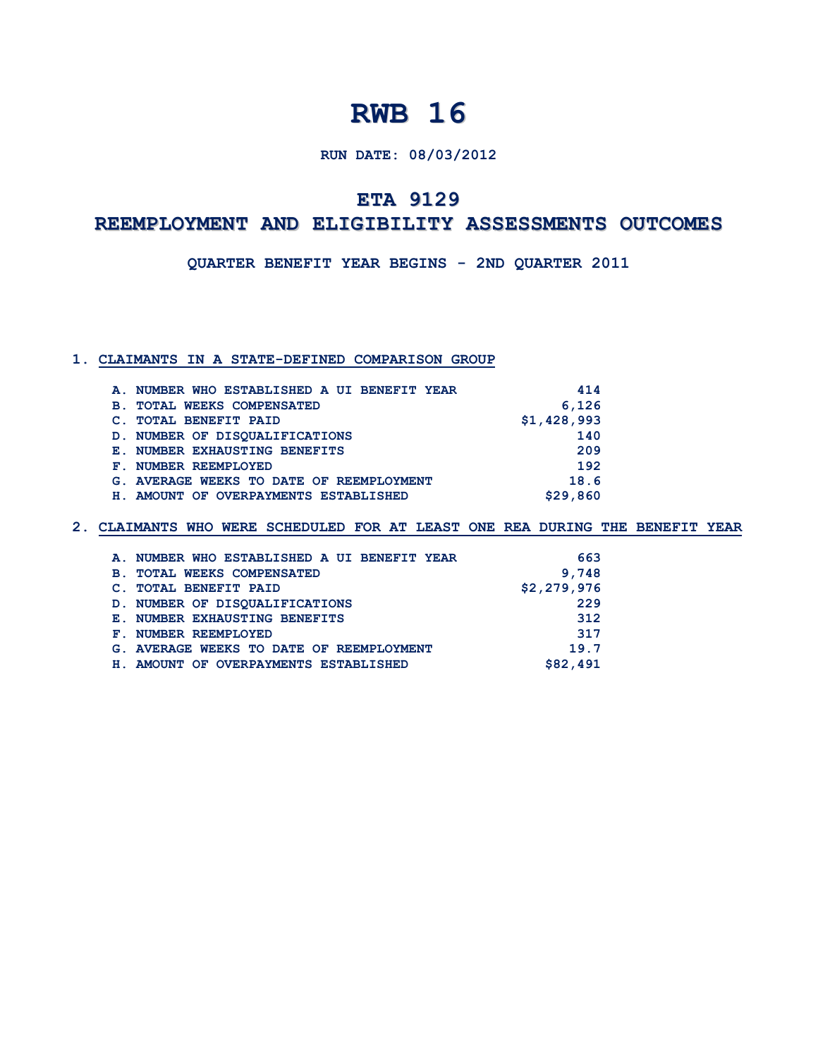## **RUN DATE: 08/03/2012**

## **ETA 9129**

## **REEMPLOYMENT AND ELIGIBILITY ASSESSMENTS OUTCOMES**

**QUARTER BENEFIT YEAR BEGINS - 2ND QUARTER 2011**

#### **1. CLAIMANTS IN A STATE-DEFINED COMPARISON GROUP**

| A. NUMBER WHO ESTABLISHED A UI BENEFIT YEAR  | 414         |
|----------------------------------------------|-------------|
| <b>TOTAL WEEKS COMPENSATED</b><br><b>B</b> . | 6,126       |
| <b>TOTAL BENEFIT PAID</b>                    | \$1,428,993 |
| D. NUMBER OF DISOUALIFICATIONS               | 140         |
| E. NUMBER EXHAUSTING BENEFITS                | 209         |
| F. NUMBER REEMPLOYED                         | 192         |
| G. AVERAGE WEEKS TO DATE OF REEMPLOYMENT     | 18.6        |
| H. AMOUNT OF OVERPAYMENTS ESTABLISHED        | \$29,860    |
|                                              |             |

| A. NUMBER WHO ESTABLISHED A UI BENEFIT YEAR      | 663         |
|--------------------------------------------------|-------------|
| <b>TOTAL WEEKS COMPENSATED</b><br>$\mathbf{B}$ . | 9,748       |
| C. TOTAL BENEFIT PAID                            | \$2,279,976 |
| D. NUMBER OF DISOUALIFICATIONS                   | 229         |
| <b>E. NUMBER EXHAUSTING BENEFITS</b>             | 312         |
| F. NUMBER REEMPLOYED                             | 317         |
| G. AVERAGE WEEKS TO DATE OF REEMPLOYMENT         | 19.7        |
| H. AMOUNT OF OVERPAYMENTS ESTABLISHED            | \$82,491    |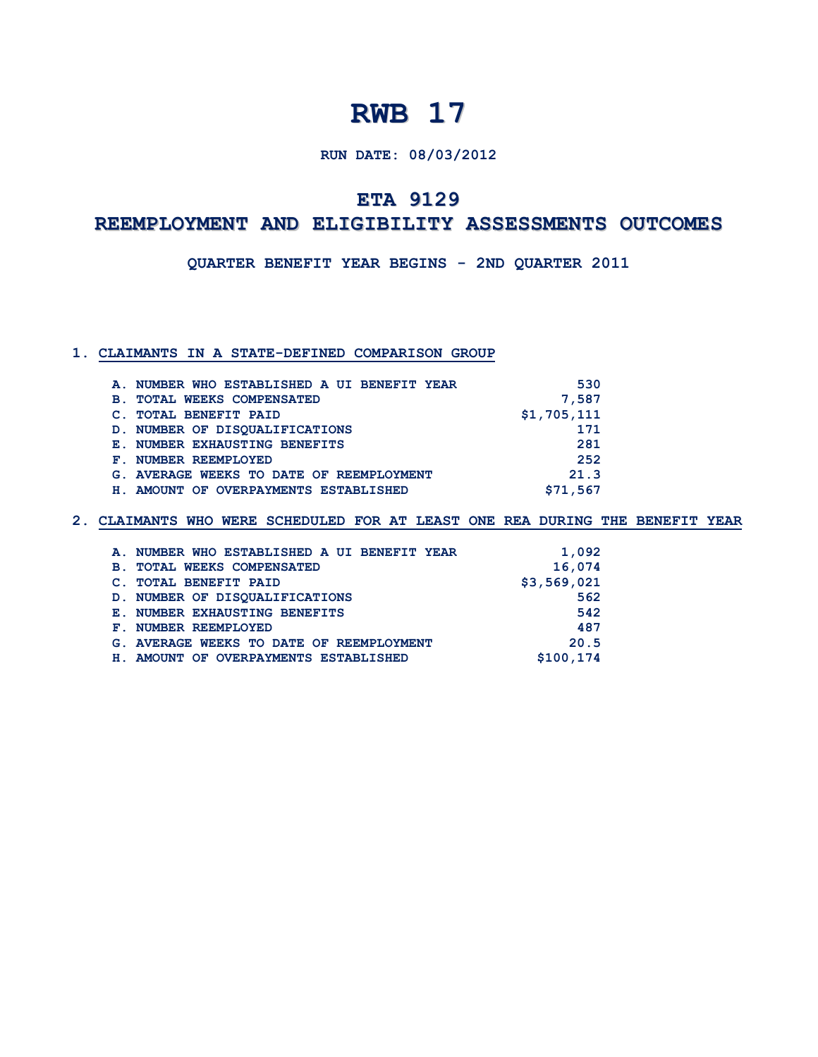## **RUN DATE: 08/03/2012**

## **ETA 9129**

## **REEMPLOYMENT AND ELIGIBILITY ASSESSMENTS OUTCOMES**

**QUARTER BENEFIT YEAR BEGINS - 2ND QUARTER 2011**

### **1. CLAIMANTS IN A STATE-DEFINED COMPARISON GROUP**

|            | A. NUMBER WHO ESTABLISHED A UI BENEFIT YEAR | 530         |
|------------|---------------------------------------------|-------------|
| <b>B</b> . | <b>TOTAL WEEKS COMPENSATED</b>              | 7,587       |
|            | <b>TOTAL BENEFIT PAID</b>                   | \$1,705,111 |
|            | D. NUMBER OF DISOUALIFICATIONS              | 171         |
|            | <b>E. NUMBER EXHAUSTING BENEFITS</b>        | 281         |
|            | F. NUMBER REEMPLOYED                        | 252         |
|            | G. AVERAGE WEEKS TO DATE OF REEMPLOYMENT    | 21.3        |
| H.,        | AMOUNT OF OVERPAYMENTS ESTABLISHED          | \$71,567    |

| A. NUMBER WHO ESTABLISHED A UI BENEFIT YEAR      | 1,092       |
|--------------------------------------------------|-------------|
| <b>TOTAL WEEKS COMPENSATED</b><br>$\mathbf{B}$ . | 16,074      |
| <b>TOTAL BENEFIT PAID</b><br>$\mathbf{C}$ .      | \$3,569,021 |
| D. NUMBER OF DISOUALIFICATIONS                   | 562         |
| <b>E. NUMBER EXHAUSTING BENEFITS</b>             | 542         |
| F. NUMBER REEMPLOYED                             | 487         |
| G. AVERAGE WEEKS TO DATE OF REEMPLOYMENT         | 20.5        |
| H. AMOUNT OF OVERPAYMENTS ESTABLISHED            | \$100,174   |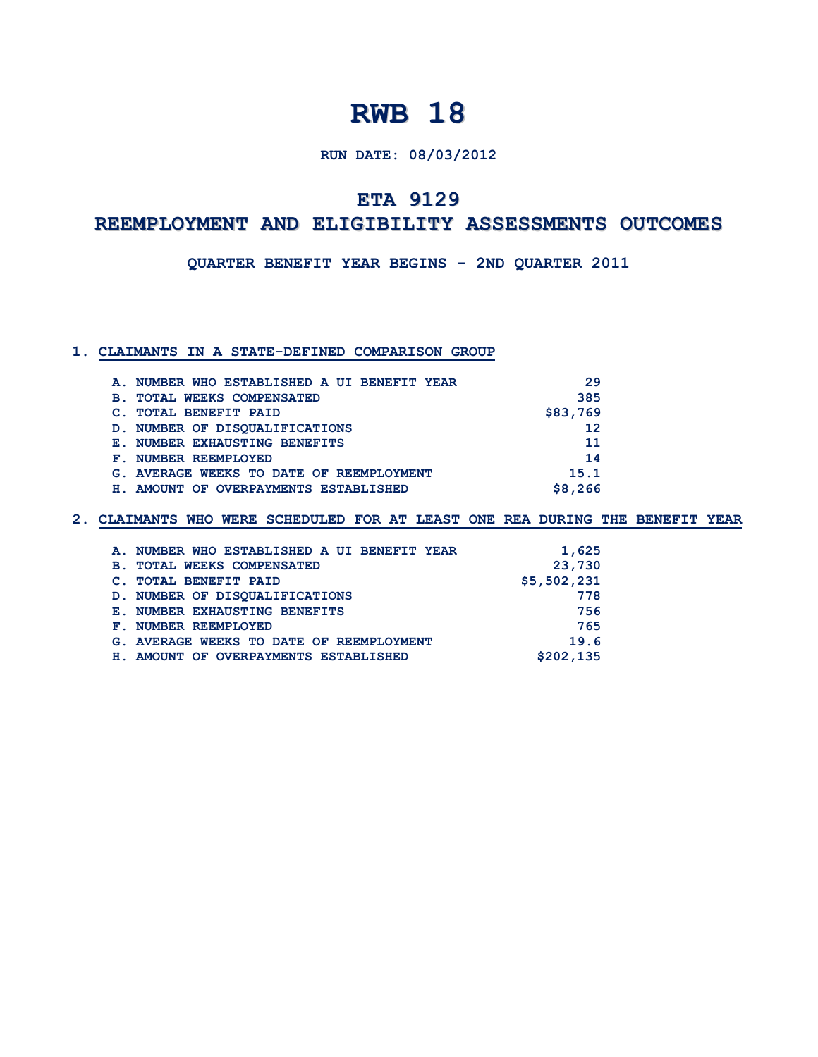## **RUN DATE: 08/03/2012**

## **ETA 9129**

## **REEMPLOYMENT AND ELIGIBILITY ASSESSMENTS OUTCOMES**

**QUARTER BENEFIT YEAR BEGINS - 2ND QUARTER 2011**

#### **1. CLAIMANTS IN A STATE-DEFINED COMPARISON GROUP**

|            | A. NUMBER WHO ESTABLISHED A UI BENEFIT YEAR | 29       |
|------------|---------------------------------------------|----------|
| <b>B</b> . | <b>TOTAL WEEKS COMPENSATED</b>              | 385      |
|            | <b>TOTAL BENEFIT PAID</b>                   | \$83,769 |
|            | D. NUMBER OF DISOUALIFICATIONS              | 12       |
|            | <b>E. NUMBER EXHAUSTING BENEFITS</b>        | 11       |
|            | F. NUMBER REEMPLOYED                        | 14       |
|            | G. AVERAGE WEEKS TO DATE OF REEMPLOYMENT    | 15.1     |
|            | H. AMOUNT OF OVERPAYMENTS ESTABLISHED       | \$8,266  |

|            | A. NUMBER WHO ESTABLISHED A UI BENEFIT YEAR | 1,625       |
|------------|---------------------------------------------|-------------|
| <b>B</b> . | <b>TOTAL WEEKS COMPENSATED</b>              | 23,730      |
|            | <b>TOTAL BENEFIT PAID</b>                   | \$5,502,231 |
|            | D. NUMBER OF DISOUALIFICATIONS              | 778         |
|            | <b>E. NUMBER EXHAUSTING BENEFITS</b>        | 756         |
|            | F. NUMBER REEMPLOYED                        | 765         |
|            | G. AVERAGE WEEKS TO DATE OF REEMPLOYMENT    | 19.6        |
| н.         | AMOUNT OF OVERPAYMENTS ESTABLISHED          | \$202,135   |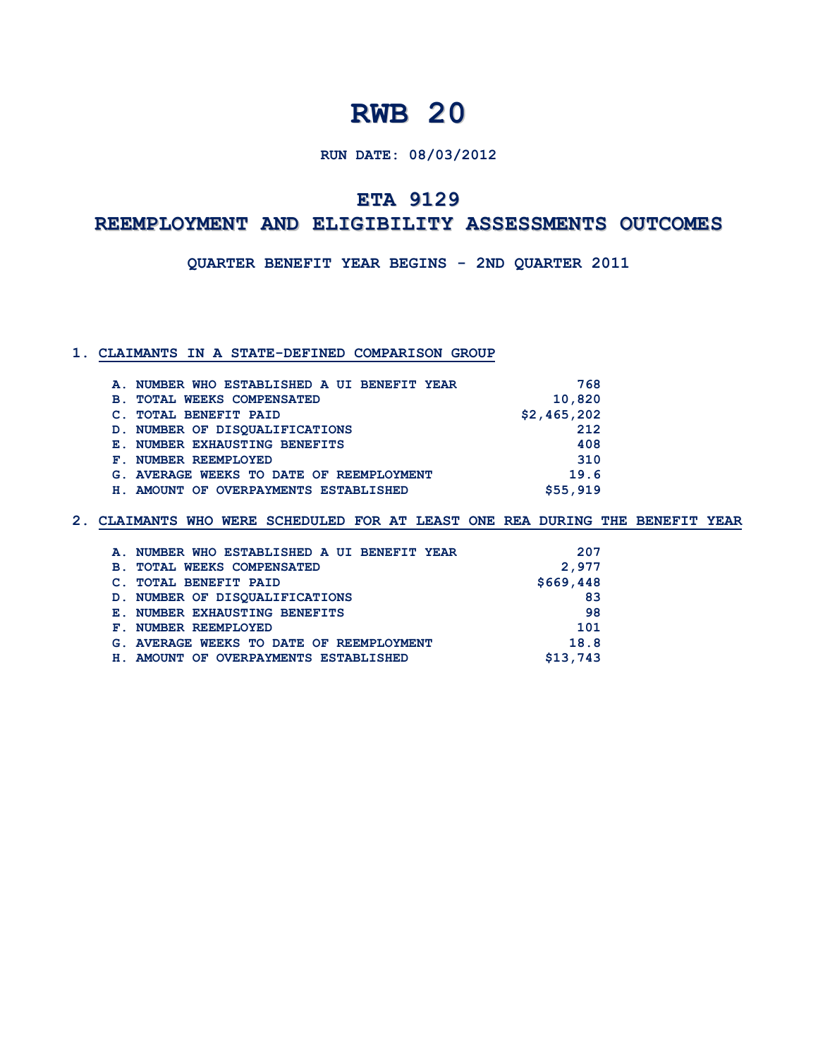## **RUN DATE: 08/03/2012**

## **ETA 9129**

## **REEMPLOYMENT AND ELIGIBILITY ASSESSMENTS OUTCOMES**

**QUARTER BENEFIT YEAR BEGINS - 2ND QUARTER 2011**

### **1. CLAIMANTS IN A STATE-DEFINED COMPARISON GROUP**

| A. NUMBER WHO ESTABLISHED A UI BENEFIT YEAR | 768         |
|---------------------------------------------|-------------|
| <b>TOTAL WEEKS COMPENSATED</b><br><b>B.</b> | 10,820      |
| <b>TOTAL BENEFIT PAID</b>                   | \$2,465,202 |
| D. NUMBER OF DISOUALIFICATIONS              | 212         |
| <b>E. NUMBER EXHAUSTING BENEFITS</b>        | 408         |
| F. NUMBER REEMPLOYED                        | 310         |
| G. AVERAGE WEEKS TO DATE OF REEMPLOYMENT    | 19.6        |
| H. AMOUNT OF OVERPAYMENTS ESTABLISHED       | \$55,919    |

|                | A. NUMBER WHO ESTABLISHED A UI BENEFIT YEAR | 207       |
|----------------|---------------------------------------------|-----------|
| <b>B</b> .     | <b>TOTAL WEEKS COMPENSATED</b>              | 2,977     |
| $\mathbf{C}$ . | <b>TOTAL BENEFIT PAID</b>                   | \$669,448 |
|                | D. NUMBER OF DISOUALIFICATIONS              | 83        |
|                | <b>E. NUMBER EXHAUSTING BENEFITS</b>        | 98        |
|                | F. NUMBER REEMPLOYED                        | 101       |
|                | G. AVERAGE WEEKS TO DATE OF REEMPLOYMENT    | 18.8      |
|                | H. AMOUNT OF OVERPAYMENTS ESTABLISHED       | \$13,743  |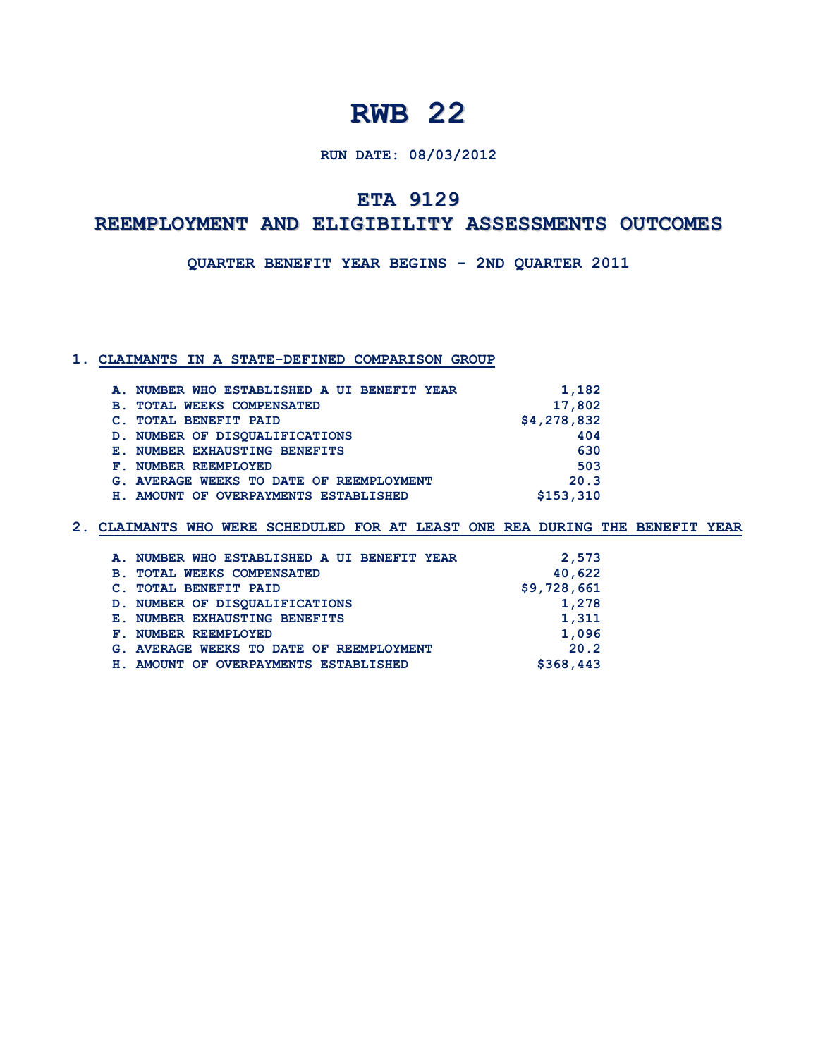## **RUN DATE: 08/03/2012**

## **ETA 9129**

## **REEMPLOYMENT AND ELIGIBILITY ASSESSMENTS OUTCOMES**

**QUARTER BENEFIT YEAR BEGINS - 2ND QUARTER 2011**

#### **1. CLAIMANTS IN A STATE-DEFINED COMPARISON GROUP**

| A. NUMBER WHO ESTABLISHED A UI BENEFIT YEAR  | 1,182       |
|----------------------------------------------|-------------|
| <b>TOTAL WEEKS COMPENSATED</b><br><b>B</b> . | 17,802      |
| <b>TOTAL BENEFIT PAID</b>                    | \$4,278,832 |
| D. NUMBER OF DISOUALIFICATIONS               | 404         |
| <b>E. NUMBER EXHAUSTING BENEFITS</b>         | 630         |
| F. NUMBER REEMPLOYED                         | 503         |
| G. AVERAGE WEEKS TO DATE OF REEMPLOYMENT     | 20.3        |
| H. AMOUNT OF OVERPAYMENTS ESTABLISHED        | \$153,310   |
|                                              |             |

| A. NUMBER WHO ESTABLISHED A UI BENEFIT YEAR      | 2,573       |
|--------------------------------------------------|-------------|
| <b>TOTAL WEEKS COMPENSATED</b><br>$\mathbf{B}$ . | 40,622      |
| C. TOTAL BENEFIT PAID                            | \$9,728,661 |
| D. NUMBER OF DISOUALIFICATIONS                   | 1,278       |
| <b>E. NUMBER EXHAUSTING BENEFITS</b>             | 1,311       |
| F. NUMBER REEMPLOYED                             | 1,096       |
| G. AVERAGE WEEKS TO DATE OF REEMPLOYMENT         | 20.2        |
| H. AMOUNT OF OVERPAYMENTS ESTABLISHED            | \$368,443   |